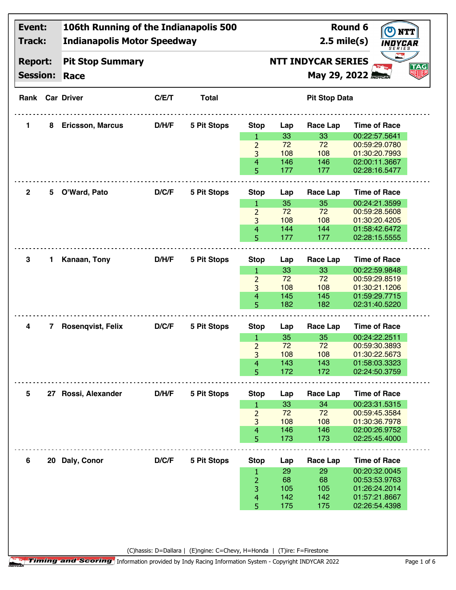| Event:<br>Track:<br><b>Report:</b><br><b>Session:</b> |    | 106th Running of the Indianapolis 500<br><b>Indianapolis Motor Speedway</b> |       |                                                                      | <b>Round 6</b><br>$2.5$ mile(s)<br>INDYCAR |     |                      |                     |  |
|-------------------------------------------------------|----|-----------------------------------------------------------------------------|-------|----------------------------------------------------------------------|--------------------------------------------|-----|----------------------|---------------------|--|
|                                                       |    | <b>Pit Stop Summary</b><br>Race                                             |       | <b>NTT INDYCAR SERIES</b><br><b>TAG</b><br>明明<br>Мау 29, 2022 АБУСАР |                                            |     |                      |                     |  |
|                                                       |    | <b>Rank Car Driver</b>                                                      | C/E/T | <b>Total</b>                                                         |                                            |     | <b>Pit Stop Data</b> |                     |  |
| 1.                                                    | 8  | <b>Ericsson, Marcus</b>                                                     | D/H/F | <b>5 Pit Stops</b>                                                   | <b>Stop</b>                                | Lap | Race Lap             | <b>Time of Race</b> |  |
|                                                       |    |                                                                             |       |                                                                      | 1                                          | 33  | 33                   | 00:22:57.5641       |  |
|                                                       |    |                                                                             |       |                                                                      | $\overline{2}$                             | 72  | 72                   | 00:59:29.0780       |  |
|                                                       |    |                                                                             |       |                                                                      | 3                                          | 108 | 108                  | 01:30:20.7993       |  |
|                                                       |    |                                                                             |       |                                                                      | 4                                          | 146 | 146                  | 02:00:11.3667       |  |
|                                                       |    |                                                                             |       |                                                                      | 5                                          | 177 | 177                  | 02:28:16.5477       |  |
| $\overline{2}$                                        |    | 5 O'Ward, Pato                                                              | D/C/F | <b>5 Pit Stops</b>                                                   | <b>Stop</b>                                | Lap | Race Lap             | <b>Time of Race</b> |  |
|                                                       |    |                                                                             |       |                                                                      | 1                                          | 35  | 35                   | 00:24:21.3599       |  |
|                                                       |    |                                                                             |       |                                                                      | $\overline{2}$                             | 72  | 72                   | 00:59:28.5608       |  |
|                                                       |    |                                                                             |       |                                                                      | 3                                          | 108 | 108                  | 01:30:20.4205       |  |
|                                                       |    |                                                                             |       |                                                                      | 4                                          | 144 | 144                  | 01:58:42.6472       |  |
|                                                       |    |                                                                             |       |                                                                      | 5                                          | 177 | 177                  | 02:28:15.5555       |  |
| 3                                                     | 1. | Kanaan, Tony                                                                | D/H/F | <b>5 Pit Stops</b>                                                   | <b>Stop</b>                                | Lap | Race Lap             | <b>Time of Race</b> |  |
|                                                       |    |                                                                             |       |                                                                      | 1                                          | 33  | 33                   | 00:22:59.9848       |  |
|                                                       |    |                                                                             |       |                                                                      | $\overline{2}$                             | 72  | 72                   | 00:59:29.8519       |  |
|                                                       |    |                                                                             |       |                                                                      | 3                                          | 108 | 108                  | 01:30:21.1206       |  |
|                                                       |    |                                                                             |       |                                                                      | 4                                          | 145 | 145                  | 01:59:29.7715       |  |
|                                                       |    |                                                                             |       |                                                                      | 5                                          | 182 | 182                  | 02:31:40.5220       |  |
| 4                                                     | 7  | Rosenqvist, Felix                                                           | D/C/F | <b>5 Pit Stops</b>                                                   | <b>Stop</b>                                | Lap | Race Lap             | <b>Time of Race</b> |  |
|                                                       |    |                                                                             |       |                                                                      | $\mathbf{1}$                               | 35  | 35                   | 00:24:22.2511       |  |
|                                                       |    |                                                                             |       |                                                                      | $\overline{2}$                             | 72  | 72                   | 00:59:30.3893       |  |
|                                                       |    |                                                                             |       |                                                                      | 3                                          | 108 | 108                  | 01:30:22.5673       |  |
|                                                       |    |                                                                             |       |                                                                      | 4                                          | 143 | 143                  | 01:58:03.3323       |  |
|                                                       |    |                                                                             |       |                                                                      | 5                                          | 172 | 172                  | 02:24:50.3759       |  |
| 5                                                     |    | 27 Rossi, Alexander                                                         | D/H/F | <b>5 Pit Stops</b>                                                   | <b>Stop</b>                                | Lap | Race Lap             | <b>Time of Race</b> |  |
|                                                       |    |                                                                             |       |                                                                      | 1                                          | 33  | 34                   | 00:23:31.5315       |  |
|                                                       |    |                                                                             |       |                                                                      | $\overline{2}$                             | 72  | 72                   | 00:59:45.3584       |  |
|                                                       |    |                                                                             |       |                                                                      | 3                                          | 108 | 108                  | 01:30:36.7978       |  |
|                                                       |    |                                                                             |       |                                                                      | 4                                          | 146 | 146                  | 02:00:26.9752       |  |
|                                                       |    |                                                                             |       |                                                                      | 5                                          | 173 | 173                  | 02:25:45.4000       |  |
| 6                                                     |    | 20 Daly, Conor                                                              | D/C/F | <b>5 Pit Stops</b>                                                   | <b>Stop</b>                                | Lap | <b>Race Lap</b>      | <b>Time of Race</b> |  |
|                                                       |    |                                                                             |       |                                                                      | 1                                          | 29  | 29                   | 00:20:32.0045       |  |
|                                                       |    |                                                                             |       |                                                                      | 2                                          | 68  | 68                   | 00:53:53.9763       |  |
|                                                       |    |                                                                             |       |                                                                      | 3                                          | 105 | 105                  | 01:26:24.2014       |  |
|                                                       |    |                                                                             |       |                                                                      | 4                                          | 142 | 142                  | 01:57:21.8667       |  |
|                                                       |    |                                                                             |       |                                                                      |                                            |     | 175                  |                     |  |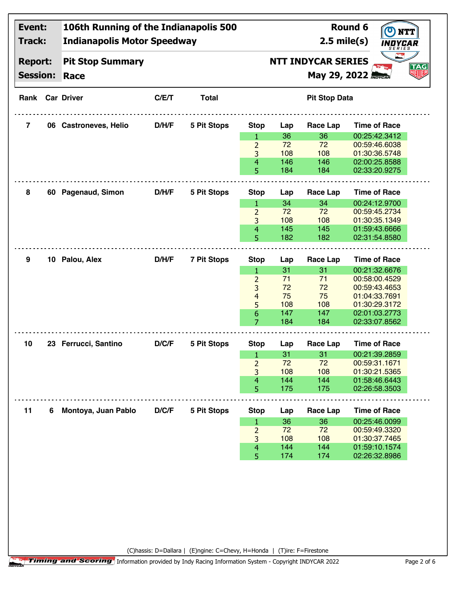| Event:<br>Track:<br><b>Report:</b> |   | 106th Running of the Indianapolis 500<br><b>Indianapolis Motor Speedway</b> |       |                    | $2.5$ mile(s)  | <b>Round 6</b>                                    |                      |                                |    |
|------------------------------------|---|-----------------------------------------------------------------------------|-------|--------------------|----------------|---------------------------------------------------|----------------------|--------------------------------|----|
|                                    |   | <b>Pit Stop Summary</b>                                                     |       |                    |                | SERIES<br><b>NTT INDYCAR SERIES</b><br><b>TAG</b> |                      |                                |    |
| <b>Session:</b>                    |   | Race                                                                        |       |                    |                |                                                   |                      | Мау 29, 2022 Абусан            | 知明 |
|                                    |   | <b>Rank Car Driver</b>                                                      | C/E/T | <b>Total</b>       |                |                                                   | <b>Pit Stop Data</b> |                                |    |
| 7                                  |   | 06 Castroneves, Helio                                                       | D/H/F | <b>5 Pit Stops</b> | <b>Stop</b>    | Lap                                               | Race Lap             | <b>Time of Race</b>            |    |
|                                    |   |                                                                             |       |                    | 1              | 36                                                | 36                   | 00:25:42.3412                  |    |
|                                    |   |                                                                             |       |                    | $\overline{2}$ | 72                                                | 72                   | 00:59:46.6038                  |    |
|                                    |   |                                                                             |       |                    | 3              | 108                                               | 108                  | 01:30:36.5748                  |    |
|                                    |   |                                                                             |       |                    | 4              | 146                                               | 146                  | 02:00:25.8588                  |    |
|                                    |   |                                                                             |       |                    | 5              | 184                                               | 184                  | 02:33:20.9275                  |    |
| 8                                  |   | 60 Pagenaud, Simon                                                          | D/H/F | 5 Pit Stops        | <b>Stop</b>    | Lap                                               | Race Lap             | <b>Time of Race</b>            |    |
|                                    |   |                                                                             |       |                    | 1              | 34                                                | 34                   | 00:24:12.9700                  |    |
|                                    |   |                                                                             |       |                    | $\overline{2}$ | 72                                                | 72                   | 00:59:45.2734                  |    |
|                                    |   |                                                                             |       |                    | 3              | 108                                               | 108                  | 01:30:35.1349                  |    |
|                                    |   |                                                                             |       |                    | 4              | 145                                               | 145                  | 01:59:43.6666                  |    |
|                                    |   |                                                                             |       |                    | 5              | 182                                               | 182                  | 02:31:54.8580                  |    |
|                                    |   |                                                                             |       |                    |                |                                                   |                      |                                |    |
| 9                                  |   | 10 Palou, Alex                                                              | D/H/F | <b>7 Pit Stops</b> | <b>Stop</b>    | Lap                                               | <b>Race Lap</b>      | <b>Time of Race</b>            |    |
|                                    |   |                                                                             |       |                    | 1              | 31                                                | 31                   | 00:21:32.6676                  |    |
|                                    |   |                                                                             |       |                    | $\overline{2}$ | 71                                                | 71                   | 00:58:00.4529                  |    |
|                                    |   |                                                                             |       |                    | 3              | 72                                                | 72                   | 00:59:43.4653                  |    |
|                                    |   |                                                                             |       |                    | 4              | 75                                                | 75                   | 01:04:33.7691                  |    |
|                                    |   |                                                                             |       |                    | 5              | 108                                               | 108                  | 01:30:29.3172                  |    |
|                                    |   |                                                                             |       |                    | 6              | 147<br>184                                        | 147<br>184           | 02:01:03.2773<br>02:33:07.8562 |    |
|                                    |   |                                                                             |       |                    |                |                                                   |                      |                                |    |
|                                    |   |                                                                             |       |                    | 7              |                                                   |                      |                                |    |
|                                    |   |                                                                             |       |                    |                |                                                   |                      |                                |    |
| 10                                 |   | 23 Ferrucci, Santino                                                        | D/C/F | 5 Pit Stops        | <b>Stop</b>    | Lap                                               | <b>Race Lap</b>      | <b>Time of Race</b>            |    |
|                                    |   |                                                                             |       |                    | $\mathbf{1}$   | 31                                                | 31                   | 00:21:39.2859                  |    |
|                                    |   |                                                                             |       |                    | $\overline{2}$ | 72                                                | 72                   | 00:59:31.1671                  |    |
|                                    |   |                                                                             |       |                    | 3              | 108                                               | 108                  | 01:30:21.5365                  |    |
|                                    |   |                                                                             |       |                    | 4              | 144                                               | 144                  | 01:58:46.6443                  |    |
|                                    |   |                                                                             |       |                    | 5              | 175                                               | 175                  | 02:26:58.3503                  |    |
| 11                                 | 6 | Montoya, Juan Pablo                                                         | D/C/F | 5 Pit Stops        | <b>Stop</b>    | Lap                                               | <b>Race Lap</b>      | <b>Time of Race</b>            |    |
|                                    |   |                                                                             |       |                    | 1              | 36                                                | 36                   | 00:25:46.0099                  |    |
|                                    |   |                                                                             |       |                    | $\overline{2}$ | 72                                                | 72                   | 00:59:49.3320                  |    |
|                                    |   |                                                                             |       |                    | 3              | 108                                               | 108                  | 01:30:37.7465                  |    |
|                                    |   |                                                                             |       |                    | 4<br>5         | 144<br>174                                        | 144<br>174           | 01:59:10.1574<br>02:26:32.8986 |    |

(C)hassis: D=Dallara | (E)ngine: C=Chevy, H=Honda | (T)ire: F=Firestone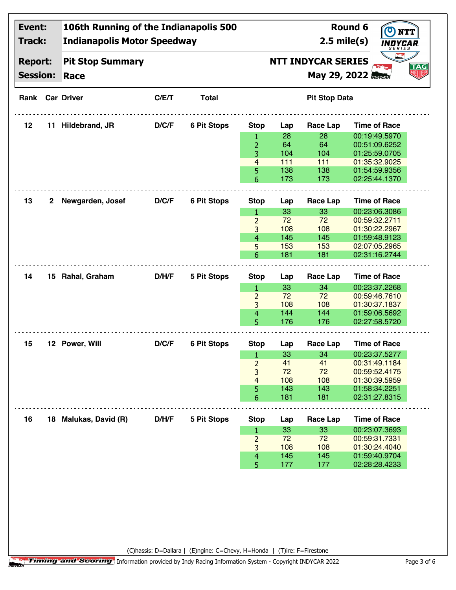| Event:<br>Track:<br><b>Report:</b><br><b>Session:</b> |   | 106th Running of the Indianapolis 500<br><b>Indianapolis Motor Speedway</b> |       |                                                                                              | Round 6<br><b>NTT</b><br>$2.5$ mile(s)<br><i>INDYCAR</i> |     |                      |                     |  |  |
|-------------------------------------------------------|---|-----------------------------------------------------------------------------|-------|----------------------------------------------------------------------------------------------|----------------------------------------------------------|-----|----------------------|---------------------|--|--|
|                                                       |   | <b>Pit Stop Summary</b><br>Race                                             |       | <b>SERIES</b><br><b>NTT INDYCAR SERIES</b><br><b>TAG</b><br>划眼<br><b>Мау 29, 2022 MOYCAR</b> |                                                          |     |                      |                     |  |  |
|                                                       |   | <b>Rank Car Driver</b>                                                      | C/E/T | <b>Total</b>                                                                                 |                                                          |     | <b>Pit Stop Data</b> |                     |  |  |
| 12                                                    |   | 11 Hildebrand, JR                                                           | D/C/F | <b>6 Pit Stops</b>                                                                           | <b>Stop</b>                                              | Lap | Race Lap             | <b>Time of Race</b> |  |  |
|                                                       |   |                                                                             |       |                                                                                              | $\mathbf{1}$                                             | 28  | 28                   | 00:19:49.5970       |  |  |
|                                                       |   |                                                                             |       |                                                                                              | 2                                                        | 64  | 64                   | 00:51:09.6252       |  |  |
|                                                       |   |                                                                             |       |                                                                                              | 3                                                        | 104 | 104                  | 01:25:59.0705       |  |  |
|                                                       |   |                                                                             |       |                                                                                              | $\overline{4}$                                           | 111 | 111                  | 01:35:32.9025       |  |  |
|                                                       |   |                                                                             |       |                                                                                              | 5                                                        | 138 | 138                  | 01:54:59.9356       |  |  |
|                                                       |   |                                                                             |       |                                                                                              | 6                                                        | 173 | 173                  | 02:25:44.1370       |  |  |
| 13                                                    | 2 | Newgarden, Josef                                                            | D/C/F | <b>6 Pit Stops</b>                                                                           | <b>Stop</b>                                              | Lap | Race Lap             | <b>Time of Race</b> |  |  |
|                                                       |   |                                                                             |       |                                                                                              | $\mathbf{1}$                                             | 33  | 33                   | 00:23:06.3086       |  |  |
|                                                       |   |                                                                             |       |                                                                                              | $\overline{2}$                                           | 72  | 72                   | 00:59:32.2711       |  |  |
|                                                       |   |                                                                             |       |                                                                                              | 3                                                        | 108 | 108                  | 01:30:22.2967       |  |  |
|                                                       |   |                                                                             |       |                                                                                              | $\overline{4}$                                           | 145 | 145                  | 01:59:48.9123       |  |  |
|                                                       |   |                                                                             |       |                                                                                              | 5                                                        | 153 | 153                  | 02:07:05.2965       |  |  |
|                                                       |   |                                                                             |       |                                                                                              | 6                                                        | 181 | 181                  | 02:31:16.2744       |  |  |
|                                                       |   |                                                                             |       |                                                                                              |                                                          |     |                      |                     |  |  |
| 14                                                    |   | 15 Rahal, Graham                                                            | D/H/F | <b>5 Pit Stops</b>                                                                           | <b>Stop</b>                                              | Lap | <b>Race Lap</b>      | <b>Time of Race</b> |  |  |
|                                                       |   |                                                                             |       |                                                                                              | 1                                                        | 33  | 34                   | 00:23:37.2268       |  |  |
|                                                       |   |                                                                             |       |                                                                                              | $\overline{2}$                                           | 72  | 72                   | 00:59:46.7610       |  |  |
|                                                       |   |                                                                             |       |                                                                                              | 3                                                        | 108 | 108                  | 01:30:37.1837       |  |  |
|                                                       |   |                                                                             |       |                                                                                              | $\overline{4}$                                           | 144 | 144                  | 01:59:06.5692       |  |  |
|                                                       |   |                                                                             |       |                                                                                              | 5                                                        | 176 | 176                  | 02:27:58.5720       |  |  |
| 15                                                    |   | 12 Power, Will                                                              | D/C/F | <b>6 Pit Stops</b>                                                                           | <b>Stop</b>                                              | Lap | <b>Race Lap</b>      | <b>Time of Race</b> |  |  |
|                                                       |   |                                                                             |       |                                                                                              | 1                                                        | 33  | 34                   | 00:23:37.5277       |  |  |
|                                                       |   |                                                                             |       |                                                                                              | $\overline{2}$                                           | 41  | 41                   | 00:31:49.1184       |  |  |
|                                                       |   |                                                                             |       |                                                                                              | 3                                                        | 72  | 72                   | 00:59:52.4175       |  |  |
|                                                       |   |                                                                             |       |                                                                                              | $\overline{4}$                                           | 108 | 108                  | 01:30:39.5959       |  |  |
|                                                       |   |                                                                             |       |                                                                                              | 5                                                        | 143 | 143                  | 01:58:34.2251       |  |  |
|                                                       |   |                                                                             |       |                                                                                              | 6                                                        | 181 | 181                  | 02:31:27.8315       |  |  |
| 16                                                    |   | 18 Malukas, David (R)                                                       | D/H/F | 5 Pit Stops                                                                                  | <b>Stop</b>                                              | Lap | <b>Race Lap</b>      | <b>Time of Race</b> |  |  |
|                                                       |   |                                                                             |       |                                                                                              | $\mathbf{1}$                                             | 33  | 33                   | 00:23:07.3693       |  |  |
|                                                       |   |                                                                             |       |                                                                                              | $\overline{2}$                                           | 72  | 72                   | 00:59:31.7331       |  |  |
|                                                       |   |                                                                             |       |                                                                                              | 3                                                        | 108 | 108                  | 01:30:24.4040       |  |  |
|                                                       |   |                                                                             |       |                                                                                              | $\overline{\mathcal{A}}$                                 | 145 | 145                  | 01:59:40.9704       |  |  |
|                                                       |   |                                                                             |       |                                                                                              | 5                                                        | 177 | 177                  | 02:28:28.4233       |  |  |

(C)hassis: D=Dallara | (E)ngine: C=Chevy, H=Honda | (T)ire: F=Firestone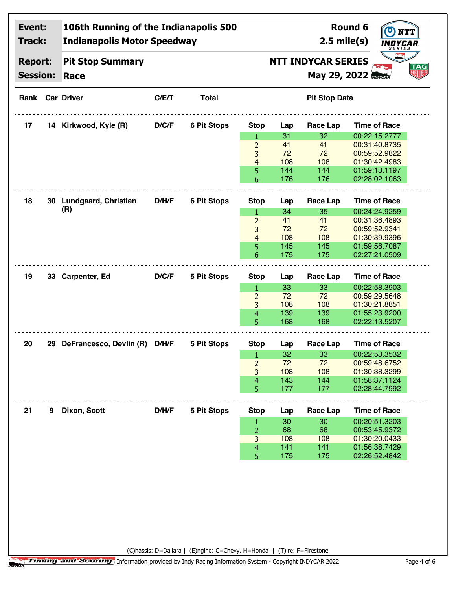| Event:<br>Track: |   | 106th Running of the Indianapolis 500<br><b>Indianapolis Motor Speedway</b> |                                         |                    | Round 6<br>$2.5$ mile(s)<br>INDYCAR<br>SERIES |            |                      |                                |  |    |  |
|------------------|---|-----------------------------------------------------------------------------|-----------------------------------------|--------------------|-----------------------------------------------|------------|----------------------|--------------------------------|--|----|--|
| <b>Report:</b>   |   | <b>Pit Stop Summary</b>                                                     | <b>NTT INDYCAR SERIES</b><br><b>TAG</b> |                    |                                               |            |                      |                                |  |    |  |
| <b>Session:</b>  |   | Race                                                                        |                                         |                    |                                               |            | Мау 29, 2022 Моусан  |                                |  | 如财 |  |
|                  |   | <b>Rank Car Driver</b>                                                      | C/E/T                                   | <b>Total</b>       |                                               |            | <b>Pit Stop Data</b> |                                |  |    |  |
| 17               |   | 14 Kirkwood, Kyle (R)                                                       | D/C/F                                   | <b>6 Pit Stops</b> | <b>Stop</b>                                   | Lap        | Race Lap             | <b>Time of Race</b>            |  |    |  |
|                  |   |                                                                             |                                         |                    | $\mathbf{1}$                                  | 31         | 32                   | 00:22:15.2777                  |  |    |  |
|                  |   |                                                                             |                                         |                    | $\overline{2}$                                | 41         | 41                   | 00:31:40.8735                  |  |    |  |
|                  |   |                                                                             |                                         |                    | 3                                             | 72         | 72                   | 00:59:52.9822                  |  |    |  |
|                  |   |                                                                             |                                         |                    | $\overline{4}$                                | 108        | 108                  | 01:30:42.4983                  |  |    |  |
|                  |   |                                                                             |                                         |                    | 5<br>6                                        | 144<br>176 | 144<br>176           | 01:59:13.1197<br>02:28:02.1063 |  |    |  |
|                  |   |                                                                             |                                         |                    |                                               |            |                      |                                |  |    |  |
| 18               |   | 30 Lundgaard, Christian                                                     | D/H/F                                   | <b>6 Pit Stops</b> | <b>Stop</b>                                   | Lap        | <b>Race Lap</b>      | <b>Time of Race</b>            |  |    |  |
|                  |   | (R)                                                                         |                                         |                    | $\mathbf{1}$                                  | 34         | 35                   | 00:24:24.9259                  |  |    |  |
|                  |   |                                                                             |                                         |                    | $\overline{2}$                                | 41         | 41                   | 00:31:36.4893                  |  |    |  |
|                  |   |                                                                             |                                         |                    | 3                                             | 72         | 72                   | 00:59:52.9341                  |  |    |  |
|                  |   |                                                                             |                                         |                    | $\overline{4}$                                | 108        | 108                  | 01:30:39.9396                  |  |    |  |
|                  |   |                                                                             |                                         |                    | 5                                             | 145        | 145                  | 01:59:56.7087                  |  |    |  |
|                  |   |                                                                             |                                         |                    | 6                                             | 175        | 175                  | 02:27:21.0509                  |  |    |  |
| 19               |   | 33 Carpenter, Ed                                                            | D/C/F                                   | 5 Pit Stops        |                                               |            |                      | <b>Time of Race</b>            |  |    |  |
|                  |   |                                                                             |                                         |                    | <b>Stop</b>                                   | Lap        | <b>Race Lap</b>      |                                |  |    |  |
|                  |   |                                                                             |                                         |                    | $\mathbf{1}$                                  | 33         | 33                   | 00:22:58.3903                  |  |    |  |
|                  |   |                                                                             |                                         |                    | $\overline{2}$<br>3                           | 72<br>108  | 72<br>108            | 00:59:29.5648<br>01:30:21.8851 |  |    |  |
|                  |   |                                                                             |                                         |                    | $\overline{4}$                                | 139        | 139                  | 01:55:23.9200                  |  |    |  |
|                  |   |                                                                             |                                         |                    | 5                                             | 168        | 168                  | 02:22:13.5207                  |  |    |  |
|                  |   |                                                                             |                                         |                    |                                               |            |                      |                                |  |    |  |
| 20               |   | 29 DeFrancesco, Devlin (R)                                                  | D/H/F                                   | <b>5 Pit Stops</b> | <b>Stop</b>                                   | Lap        | <b>Race Lap</b>      | <b>Time of Race</b>            |  |    |  |
|                  |   |                                                                             |                                         |                    | $\mathbf{1}$                                  | 32         | 33                   | 00:22:53.3532                  |  |    |  |
|                  |   |                                                                             |                                         |                    | $\overline{2}$                                | 72         | 72                   | 00:59:48.6752                  |  |    |  |
|                  |   |                                                                             |                                         |                    | 3                                             | 108        | 108                  | 01:30:38.3299                  |  |    |  |
|                  |   |                                                                             |                                         |                    | 4                                             | 143        | 144                  | 01:58:37.1124                  |  |    |  |
|                  |   |                                                                             |                                         |                    | 5                                             | 177        | 177                  | 02:28:44.7992                  |  |    |  |
|                  |   |                                                                             |                                         |                    |                                               |            |                      |                                |  |    |  |
| 21               | 9 | Dixon, Scott                                                                | D/H/F                                   | 5 Pit Stops        | <b>Stop</b>                                   | Lap        | <b>Race Lap</b>      | <b>Time of Race</b>            |  |    |  |
|                  |   |                                                                             |                                         |                    | $\mathbf{1}$                                  | 30         | 30                   | 00:20:51.3203                  |  |    |  |
|                  |   |                                                                             |                                         |                    | $\overline{2}$                                | 68<br>108  | 68<br>108            | 00:53:45.9372<br>01:30:20.0433 |  |    |  |
|                  |   |                                                                             |                                         |                    | 3<br>4                                        | 141        | 141                  | 01:56:38.7429                  |  |    |  |
|                  |   |                                                                             |                                         |                    | 5                                             | 175        | 175                  | 02:26:52.4842                  |  |    |  |
|                  |   |                                                                             |                                         |                    |                                               |            |                      |                                |  |    |  |

(C)hassis: D=Dallara | (E)ngine: C=Chevy, H=Honda | (T)ire: F=Firestone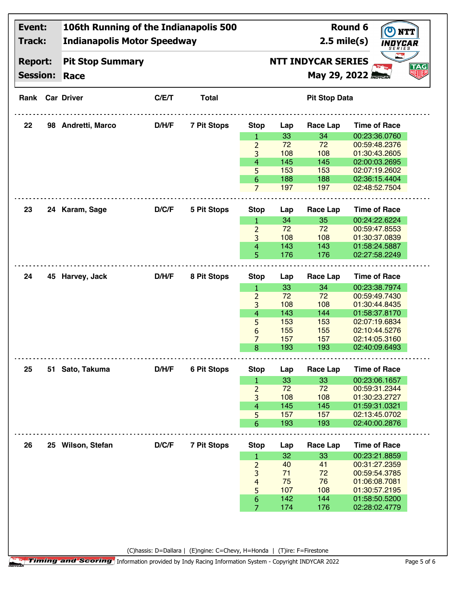| Event:          | 106th Running of the Indianapolis 500 |       |                                                                         |                     | Round 6<br>$\bullet$<br><b>NTT</b> |                      |                                |                     |  |  |
|-----------------|---------------------------------------|-------|-------------------------------------------------------------------------|---------------------|------------------------------------|----------------------|--------------------------------|---------------------|--|--|
| <b>Track:</b>   | <b>Indianapolis Motor Speedway</b>    |       |                                                                         |                     |                                    | $2.5$ mile(s)        | INDYCAR<br>SERIES              |                     |  |  |
| <b>Report:</b>  | <b>Pit Stop Summary</b>               |       |                                                                         |                     | <b>NTT INDYCAR SERIES</b>          |                      |                                |                     |  |  |
| <b>Session:</b> | Race                                  |       |                                                                         |                     |                                    |                      | May 29, 2022 <b>May CAR</b>    | <b>TAG</b><br>NEIEB |  |  |
|                 | <b>Rank Car Driver</b>                | C/E/T | <b>Total</b>                                                            |                     |                                    | <b>Pit Stop Data</b> |                                |                     |  |  |
| 22              | 98 Andretti, Marco                    | D/H/F | <b>7 Pit Stops</b>                                                      | <b>Stop</b>         | Lap                                | Race Lap             | <b>Time of Race</b>            |                     |  |  |
|                 |                                       |       |                                                                         | 1                   | 33                                 | 34                   | 00:23:36.0760                  |                     |  |  |
|                 |                                       |       |                                                                         | $\overline{2}$      | 72                                 | 72                   | 00:59:48.2376                  |                     |  |  |
|                 |                                       |       |                                                                         | 3                   | 108                                | 108                  | 01:30:43.2605                  |                     |  |  |
|                 |                                       |       |                                                                         | $\overline{4}$      | 145                                | 145                  | 02:00:03.2695                  |                     |  |  |
|                 |                                       |       |                                                                         | 5                   | 153                                | 153                  | 02:07:19.2602                  |                     |  |  |
|                 |                                       |       |                                                                         | 6                   | 188                                | 188                  | 02:36:15.4404                  |                     |  |  |
|                 |                                       |       |                                                                         | $\overline{7}$      | 197                                | 197                  | 02:48:52.7504                  |                     |  |  |
| 23              | 24 Karam, Sage                        | D/C/F | 5 Pit Stops                                                             |                     |                                    |                      | <b>Time of Race</b>            |                     |  |  |
|                 |                                       |       |                                                                         | <b>Stop</b><br>1    | Lap<br>34                          | Race Lap<br>35       | 00:24:22.6224                  |                     |  |  |
|                 |                                       |       |                                                                         | $\overline{2}$      | 72                                 | 72                   | 00:59:47.8553                  |                     |  |  |
|                 |                                       |       |                                                                         | 3                   | 108                                | 108                  | 01:30:37.0839                  |                     |  |  |
|                 |                                       |       |                                                                         | $\overline{4}$      | 143                                | 143                  | 01:58:24.5887                  |                     |  |  |
|                 |                                       |       |                                                                         | 5                   | 176                                | 176                  | 02:27:58.2249                  |                     |  |  |
|                 |                                       |       |                                                                         |                     |                                    |                      |                                |                     |  |  |
| 24              | 45 Harvey, Jack                       | D/H/F | 8 Pit Stops                                                             | <b>Stop</b>         | Lap                                | Race Lap             | <b>Time of Race</b>            |                     |  |  |
|                 |                                       |       |                                                                         | 1                   | 33                                 | 34                   | 00:23:38.7974                  |                     |  |  |
|                 |                                       |       |                                                                         | $\overline{2}$      | 72                                 | 72                   | 00:59:49.7430                  |                     |  |  |
|                 |                                       |       |                                                                         | 3                   | 108                                | 108                  | 01:30:44.8435                  |                     |  |  |
|                 |                                       |       |                                                                         | $\overline{4}$      | 143                                | 144                  | 01:58:37.8170                  |                     |  |  |
|                 |                                       |       |                                                                         | 5                   | 153                                | 153                  | 02:07:19.6834                  |                     |  |  |
|                 |                                       |       |                                                                         | 6                   | 155                                | 155                  | 02:10:44.5276                  |                     |  |  |
|                 |                                       |       |                                                                         | 7                   | 157                                | 157                  | 02:14:05.3160                  |                     |  |  |
|                 |                                       |       |                                                                         | 8                   | 193                                | 193                  | 02:40:09.6493                  |                     |  |  |
|                 |                                       |       |                                                                         |                     |                                    |                      | <b>Time of Race</b>            |                     |  |  |
| 25              | 51 Sato, Takuma                       | D/H/F | <b>6 Pit Stops</b>                                                      | <b>Stop</b>         | Lap                                | Race Lap             |                                |                     |  |  |
|                 |                                       |       |                                                                         | 1                   | 33                                 | 33                   | 00:23:06.1657                  |                     |  |  |
|                 |                                       |       |                                                                         | $\overline{2}$      | 72                                 | 72                   | 00:59:31.2344                  |                     |  |  |
|                 |                                       |       |                                                                         | 3                   | 108<br>145                         | 108                  | 01:30:23.2727                  |                     |  |  |
|                 |                                       |       |                                                                         | $\overline{4}$<br>5 | 157                                | 145<br>157           | 01:59:31.0321<br>02:13:45.0702 |                     |  |  |
|                 |                                       |       |                                                                         | 6                   | 193                                | 193                  | 02:40:00.2876                  |                     |  |  |
|                 |                                       |       |                                                                         |                     |                                    |                      |                                |                     |  |  |
| 26              | 25 Wilson, Stefan                     | D/C/F | <b>7 Pit Stops</b>                                                      | <b>Stop</b>         | Lap                                | Race Lap             | <b>Time of Race</b>            |                     |  |  |
|                 |                                       |       |                                                                         | 1                   | 32                                 | 33                   | 00:23:21.8859                  |                     |  |  |
|                 |                                       |       |                                                                         | $\overline{2}$      | 40                                 | 41                   | 00:31:27.2359                  |                     |  |  |
|                 |                                       |       |                                                                         | 3                   | 71                                 | 72                   | 00:59:54.3785                  |                     |  |  |
|                 |                                       |       |                                                                         | $\overline{4}$      | 75                                 | 76                   | 01:06:08.7081                  |                     |  |  |
|                 |                                       |       |                                                                         | 5                   | 107                                | 108                  | 01:30:57.2195                  |                     |  |  |
|                 |                                       |       |                                                                         | $\boldsymbol{6}$    | 142                                | 144                  | 01:58:50.5200                  |                     |  |  |
|                 |                                       |       |                                                                         | $\overline{7}$      | 174                                | 176                  | 02:28:02.4779                  |                     |  |  |
|                 |                                       |       |                                                                         |                     |                                    |                      |                                |                     |  |  |
|                 |                                       |       |                                                                         |                     |                                    |                      |                                |                     |  |  |
|                 |                                       |       | (C)hassis: D=Dallara   (E)ngine: C=Chevy, H=Honda   (T)ire: F=Firestone |                     |                                    |                      |                                |                     |  |  |